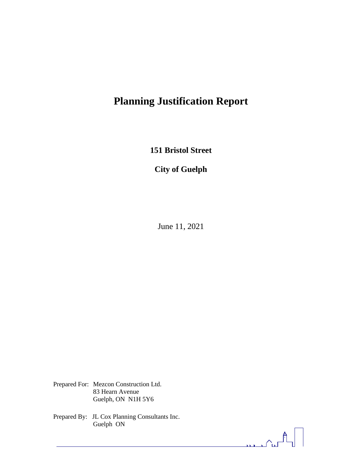# **Planning Justification Report**

**151 Bristol Street**

**City of Guelph**

June 11, 2021

Prepared For: Mezcon Construction Ltd. 83 Hearn Avenue Guelph, ON N1H 5Y6

Prepared By: JL Cox Planning Consultants Inc. Guelph ON

<u>താ</u>ഹിപ്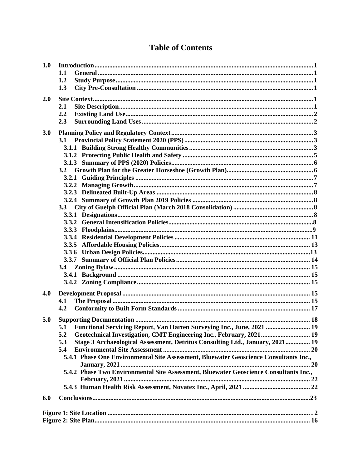| 1.0 |                                                                                       |  |
|-----|---------------------------------------------------------------------------------------|--|
|     | 1.1                                                                                   |  |
|     | 1.2                                                                                   |  |
|     | 1.3                                                                                   |  |
| 2.0 |                                                                                       |  |
|     | 2.1                                                                                   |  |
|     | 2.2                                                                                   |  |
|     | 2.3                                                                                   |  |
| 3.0 |                                                                                       |  |
|     | 3.1                                                                                   |  |
|     |                                                                                       |  |
|     |                                                                                       |  |
|     |                                                                                       |  |
|     | 3.2                                                                                   |  |
|     |                                                                                       |  |
|     |                                                                                       |  |
|     |                                                                                       |  |
|     |                                                                                       |  |
|     |                                                                                       |  |
|     | 3.3                                                                                   |  |
|     |                                                                                       |  |
|     |                                                                                       |  |
|     |                                                                                       |  |
|     |                                                                                       |  |
|     |                                                                                       |  |
|     |                                                                                       |  |
|     |                                                                                       |  |
|     | 3.4                                                                                   |  |
|     |                                                                                       |  |
|     |                                                                                       |  |
| 4.0 |                                                                                       |  |
|     | 4.1                                                                                   |  |
|     | 4.2                                                                                   |  |
| 5.0 |                                                                                       |  |
|     | 5.1 Functional Servicing Report, Van Harten Surveying Inc., June, 2021  19            |  |
|     | 5.2                                                                                   |  |
|     | Geotechnical Investigation, CMT Engineering Inc., February, 2021 19<br>5.3            |  |
|     | Stage 3 Archaeological Assessment, Detritus Consulting Ltd., January, 2021 19         |  |
|     | 5.4                                                                                   |  |
|     | 5.4.1 Phase One Environmental Site Assessment, Bluewater Geoscience Consultants Inc., |  |
|     | 5.4.2 Phase Two Environmental Site Assessment, Bluewater Geoscience Consultants Inc., |  |
|     |                                                                                       |  |
|     |                                                                                       |  |
|     |                                                                                       |  |
| 6.0 |                                                                                       |  |
|     |                                                                                       |  |
|     |                                                                                       |  |
|     |                                                                                       |  |

# **Table of Contents**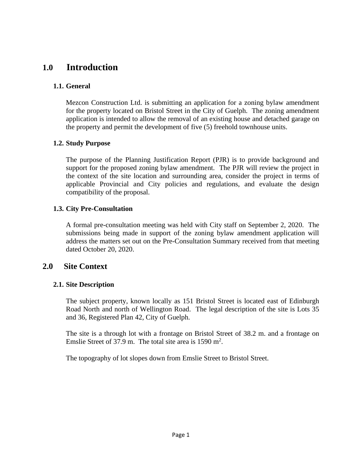# **1.0 Introduction**

## **1.1. General**

Mezcon Construction Ltd. is submitting an application for a zoning bylaw amendment for the property located on Bristol Street in the City of Guelph. The zoning amendment application is intended to allow the removal of an existing house and detached garage on the property and permit the development of five (5) freehold townhouse units.

## **1.2. Study Purpose**

The purpose of the Planning Justification Report (PJR) is to provide background and support for the proposed zoning bylaw amendment. The PJR will review the project in the context of the site location and surrounding area, consider the project in terms of applicable Provincial and City policies and regulations, and evaluate the design compatibility of the proposal.

# **1.3. City Pre-Consultation**

A formal pre-consultation meeting was held with City staff on September 2, 2020. The submissions being made in support of the zoning bylaw amendment application will address the matters set out on the Pre-Consultation Summary received from that meeting dated October 20, 2020.

# **2.0 Site Context**

# **2.1. Site Description**

The subject property, known locally as 151 Bristol Street is located east of Edinburgh Road North and north of Wellington Road. The legal description of the site is Lots 35 and 36, Registered Plan 42, City of Guelph.

The site is a through lot with a frontage on Bristol Street of 38.2 m. and a frontage on Emslie Street of 37.9 m. The total site area is  $1590 \text{ m}^2$ .

The topography of lot slopes down from Emslie Street to Bristol Street.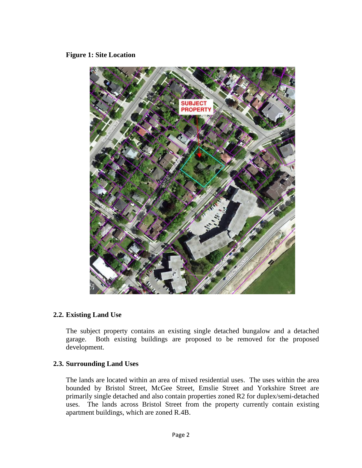#### **Figure 1: Site Location**



#### **2.2. Existing Land Use**

The subject property contains an existing single detached bungalow and a detached garage. Both existing buildings are proposed to be removed for the proposed development.

#### **2.3. Surrounding Land Uses**

The lands are located within an area of mixed residential uses. The uses within the area bounded by Bristol Street, McGee Street, Emslie Street and Yorkshire Street are primarily single detached and also contain properties zoned R2 for duplex/semi-detached uses. The lands across Bristol Street from the property currently contain existing apartment buildings, which are zoned R.4B.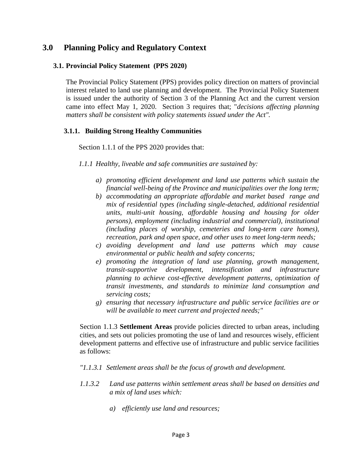# **3.0 Planning Policy and Regulatory Context**

#### **3.1. Provincial Policy Statement (PPS 2020)**

The Provincial Policy Statement (PPS) provides policy direction on matters of provincial interest related to land use planning and development. The Provincial Policy Statement is issued under the authority of Section 3 of the Planning Act and the current version came into effect May 1, 2020. Section 3 requires that; "*decisions affecting planning matters shall be consistent with policy statements issued under the Act".*

#### **3.1.1. Building Strong Healthy Communities**

Section 1.1.1 of the PPS 2020 provides that:

*1.1.1 Healthy, liveable and safe communities are sustained by:*

- *a) promoting efficient development and land use patterns which sustain the financial well-being of the Province and municipalities over the long term;*
- *b) accommodating an appropriate affordable and market based range and mix of residential types (including single-detached, additional residential units, multi-unit housing, affordable housing and housing for older persons), employment (including industrial and commercial), institutional (including places of worship, cemeteries and long-term care homes), recreation, park and open space, and other uses to meet long-term needs;*
- *c) avoiding development and land use patterns which may cause environmental or public health and safety concerns;*
- *e) promoting the integration of land use planning, growth management, transit-supportive development, intensification and infrastructure planning to achieve cost-effective development patterns, optimization of transit investments, and standards to minimize land consumption and servicing costs;*
- *g) ensuring that necessary infrastructure and public service facilities are or will be available to meet current and projected needs;"*

Section 1.1.3 **Settlement Areas** provide policies directed to urban areas, including cities, and sets out policies promoting the use of land and resources wisely, efficient development patterns and effective use of infrastructure and public service facilities as follows:

#### *"1.1.3.1 Settlement areas shall be the focus of growth and development.*

- *1.1.3.2 Land use patterns within settlement areas shall be based on densities and a mix of land uses which:*
	- *a) efficiently use land and resources;*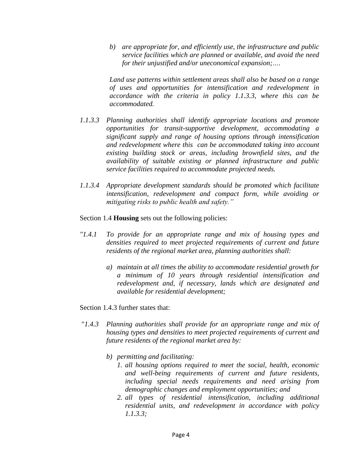*b) are appropriate for, and efficiently use, the infrastructure and public service facilities which are planned or available, and avoid the need for their unjustified and/or uneconomical expansion;….*

*Land use patterns within settlement areas shall also be based on a range of uses and opportunities for intensification and redevelopment in accordance with the criteria in policy 1.1.3.3, where this can be accommodated.*

- *1.1.3.3 Planning authorities shall identify appropriate locations and promote opportunities for transit-supportive development, accommodating a significant supply and range of housing options through intensification and redevelopment where this can be accommodated taking into account existing building stock or areas, including brownfield sites, and the availability of suitable existing or planned infrastructure and public service facilities required to accommodate projected needs.*
- *1.1.3.4 Appropriate development standards should be promoted which facilitate intensification, redevelopment and compact form, while avoiding or mitigating risks to public health and safety."*

Section 1.4 **Housing** sets out the following policies:

- *"1.4.1 To provide for an appropriate range and mix of housing types and densities required to meet projected requirements of current and future residents of the regional market area, planning authorities shall:*
	- *a) maintain at all times the ability to accommodate residential growth for a minimum of 10 years through residential intensification and redevelopment and, if necessary, lands which are designated and available for residential development;*

Section 1.4.3 further states that:

- "*1.4.3 Planning authorities shall provide for an appropriate range and mix of housing types and densities to meet projected requirements of current and future residents of the regional market area by:*
	- *b) permitting and facilitating:*
		- *1. all housing options required to meet the social, health, economic and well-being requirements of current and future residents, including special needs requirements and need arising from demographic changes and employment opportunities; and*
		- *2. all types of residential intensification, including additional residential units, and redevelopment in accordance with policy 1.1.3.3;*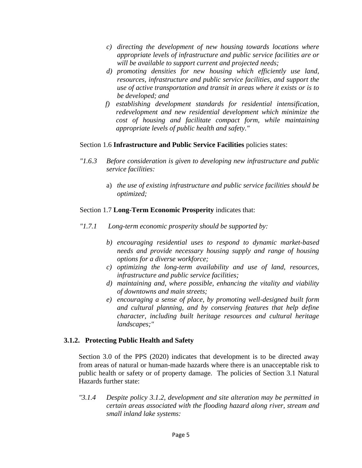- *c) directing the development of new housing towards locations where appropriate levels of infrastructure and public service facilities are or will be available to support current and projected needs;*
- *d) promoting densities for new housing which efficiently use land, resources, infrastructure and public service facilities, and support the use of active transportation and transit in areas where it exists or is to be developed; and*
- *f) establishing development standards for residential intensification, redevelopment and new residential development which minimize the cost of housing and facilitate compact form, while maintaining appropriate levels of public health and safety."*

#### Section 1.6 **Infrastructure and Public Service Facilities** policies states:

- *"1.6.3 Before consideration is given to developing new infrastructure and public service facilities:*
	- a) *the use of existing infrastructure and public service facilities should be optimized;*

## Section 1.7 **Long-Term Economic Prosperity** indicates that:

- *"1.7.1 Long-term economic prosperity should be supported by:*
	- *b) encouraging residential uses to respond to dynamic market-based needs and provide necessary housing supply and range of housing options for a diverse workforce;*
	- *c) optimizing the long-term availability and use of land, resources, infrastructure and public service facilities;*
	- *d) maintaining and, where possible, enhancing the vitality and viability of downtowns and main streets;*
	- *e) encouraging a sense of place, by promoting well-designed built form and cultural planning, and by conserving features that help define character, including built heritage resources and cultural heritage landscapes;"*

## **3.1.2. Protecting Public Health and Safety**

Section 3.0 of the PPS (2020) indicates that development is to be directed away from areas of natural or human-made hazards where there is an unacceptable risk to public health or safety or of property damage. The policies of Section 3.1 Natural Hazards further state:

*"3.1.4 Despite policy 3.1.2, development and site alteration may be permitted in certain areas associated with the flooding hazard along river, stream and small inland lake systems:*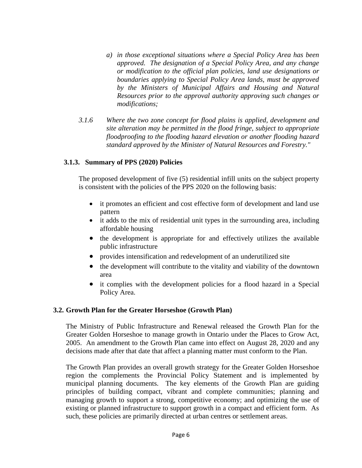- *a) in those exceptional situations where a Special Policy Area has been approved. The designation of a Special Policy Area, and any change or modification to the official plan policies, land use designations or boundaries applying to Special Policy Area lands, must be approved by the Ministers of Municipal Affairs and Housing and Natural Resources prior to the approval authority approving such changes or modifications;*
- *3.1.6 Where the two zone concept for flood plains is applied, development and site alteration may be permitted in the flood fringe, subject to appropriate floodproofing to the flooding hazard elevation or another flooding hazard standard approved by the Minister of Natural Resources and Forestry."*

## **3.1.3. Summary of PPS (2020) Policies**

The proposed development of five (5) residential infill units on the subject property is consistent with the policies of the PPS 2020 on the following basis:

- it promotes an efficient and cost effective form of development and land use pattern
- it adds to the mix of residential unit types in the surrounding area, including affordable housing
- the development is appropriate for and effectively utilizes the available public infrastructure
- provides intensification and redevelopment of an underutilized site
- the development will contribute to the vitality and viability of the downtown area
- it complies with the development policies for a flood hazard in a Special Policy Area.

#### **3.2. Growth Plan for the Greater Horseshoe (Growth Plan)**

The Ministry of Public Infrastructure and Renewal released the Growth Plan for the Greater Golden Horseshoe to manage growth in Ontario under the Places to Grow Act, 2005. An amendment to the Growth Plan came into effect on August 28, 2020 and any decisions made after that date that affect a planning matter must conform to the Plan.

The Growth Plan provides an overall growth strategy for the Greater Golden Horseshoe region the complements the Provincial Policy Statement and is implemented by municipal planning documents. The key elements of the Growth Plan are guiding principles of building compact, vibrant and complete communities; planning and managing growth to support a strong, competitive economy; and optimizing the use of existing or planned infrastructure to support growth in a compact and efficient form. As such, these policies are primarily directed at urban centres or settlement areas.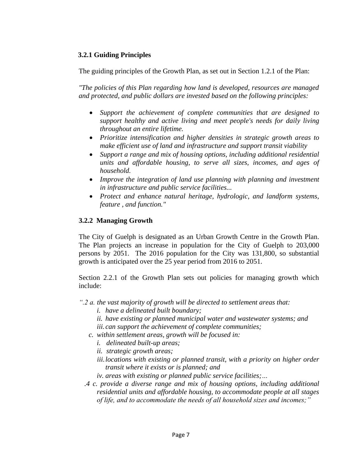## **3.2.1 Guiding Principles**

The guiding principles of the Growth Plan, as set out in Section 1.2.1 of the Plan:

*"The policies of this Plan regarding how land is developed, resources are managed and protected, and public dollars are invested based on the following principles:*

- *Support the achievement of complete communities that are designed to support healthy and active living and meet people's needs for daily living throughout an entire lifetime.*
- *Prioritize intensification and higher densities in strategic growth areas to make efficient use of land and infrastructure and support transit viability*
- *Support a range and mix of housing options, including additional residential units and affordable housing, to serve all sizes, incomes, and ages of household.*
- *Improve the integration of land use planning with planning and investment in infrastructure and public service facilities...*
- *Protect and enhance natural heritage, hydrologic, and landform systems, feature , and function."*

## **3.2.2 Managing Growth**

The City of Guelph is designated as an Urban Growth Centre in the Growth Plan. The Plan projects an increase in population for the City of Guelph to 203,000 persons by 2051. The 2016 population for the City was 131,800, so substantial growth is anticipated over the 25 year period from 2016 to 2051.

Section 2.2.1 of the Growth Plan sets out policies for managing growth which include:

- *".2 a. the vast majority of growth will be directed to settlement areas that:*
	- *i. have a delineated built boundary;*
	- *ii. have existing or planned municipal water and wastewater systems; and iii.can support the achievement of complete communities;*
	- *c. within settlement areas, growth will be focused in:*
		- *i. delineated built-up areas;*
		- *ii. strategic growth areas;*
		- *iii.locations with existing or planned transit, with a priority on higher order transit where it exists or is planned; and*
		- *iv. areas with existing or planned public service facilities;…*
	- *.4 c. provide a diverse range and mix of housing options, including additional residential units and affordable housing, to accommodate people at all stages of life, and to accommodate the needs of all household sizes and incomes;"*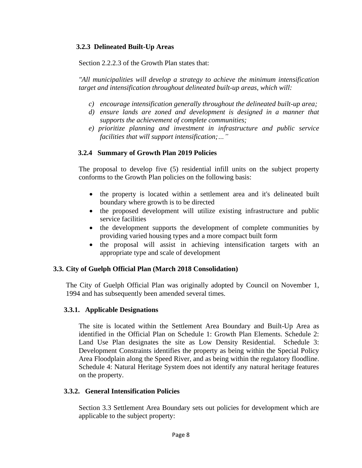# **3.2.3 Delineated Built-Up Areas**

Section 2.2.2.3 of the Growth Plan states that:

*"All municipalities will develop a strategy to achieve the minimum intensification target and intensification throughout delineated built-up areas, which will:*

- *c) encourage intensification generally throughout the delineated built-up area;*
- *d) ensure lands are zoned and development is designed in a manner that supports the achievement of complete communities;*
- *e) prioritize planning and investment in infrastructure and public service facilities that will support intensification;…"*

# **3.2.4 Summary of Growth Plan 2019 Policies**

The proposal to develop five (5) residential infill units on the subject property conforms to the Growth Plan policies on the following basis:

- the property is located within a settlement area and it's delineated built boundary where growth is to be directed
- the proposed development will utilize existing infrastructure and public service facilities
- the development supports the development of complete communities by providing varied housing types and a more compact built form
- the proposal will assist in achieving intensification targets with an appropriate type and scale of development

## **3.3. City of Guelph Official Plan (March 2018 Consolidation)**

The City of Guelph Official Plan was originally adopted by Council on November 1, 1994 and has subsequently been amended several times.

## **3.3.1. Applicable Designations**

The site is located within the Settlement Area Boundary and Built-Up Area as identified in the Official Plan on Schedule 1: Growth Plan Elements. Schedule 2: Land Use Plan designates the site as Low Density Residential. Schedule 3: Development Constraints identifies the property as being within the Special Policy Area Floodplain along the Speed River, and as being within the regulatory floodline. Schedule 4: Natural Heritage System does not identify any natural heritage features on the property.

## **3.3.2. General Intensification Policies**

Section 3.3 Settlement Area Boundary sets out policies for development which are applicable to the subject property: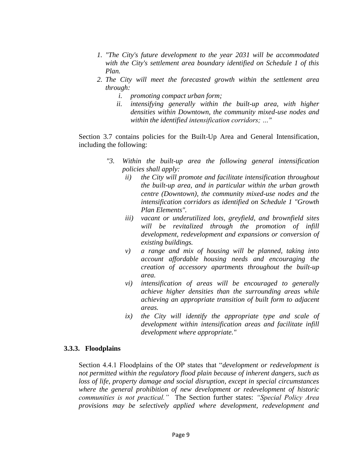- *1. "The City's future development to the year 2031 will be accommodated with the City's settlement area boundary identified on Schedule 1 of this Plan.*
- *2. The City will meet the forecasted growth within the settlement area through:*
	- *i. promoting compact urban form;*
	- *ii. intensifying generally within the built-up area, with higher densities within Downtown, the community mixed-use nodes and within the identified intensification corridors; …"*

Section 3.7 contains policies for the Built-Up Area and General Intensification, including the following:

- *"3. Within the built-up area the following general intensification policies shall apply:*
	- *ii) the City will promote and facilitate intensification throughout the built-up area, and in particular within the urban growth centre (Downtown), the community mixed-use nodes and the intensification corridors as identified on Schedule 1 "Growth Plan Elements".*
	- *iii) vacant or underutilized lots, greyfield, and brownfield sites will be revitalized through the promotion of infill development, redevelopment and expansions or conversion of existing buildings.*
	- *v) a range and mix of housing will be planned, taking into account affordable housing needs and encouraging the creation of accessory apartments throughout the built-up area.*
	- *vi) intensification of areas will be encouraged to generally achieve higher densities than the surrounding areas while achieving an appropriate transition of built form to adjacent areas.*
	- *ix) the City will identify the appropriate type and scale of development within intensification areas and facilitate infill development where appropriate."*

#### **3.3.3. Floodplains**

Section 4.4.1 Floodplains of the OP states that "*development or redevelopment is not permitted within the regulatory flood plain because of inherent dangers, such as loss of life, property damage and social disruption, except in special circumstances where the general prohibition of new development or redevelopment of historic communities is not practical."* The Section further states: *"Special Policy Area provisions may be selectively applied where development, redevelopment and*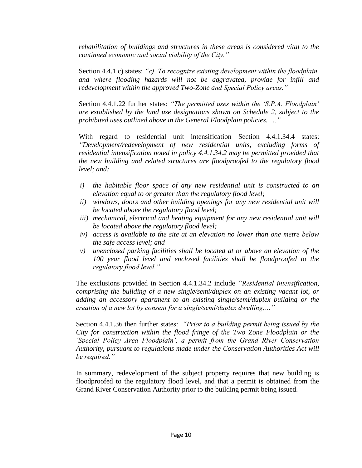*rehabilitation of buildings and structures in these areas is considered vital to the continued economic and social viability of the City."*

Section 4.4.1 c) states: *"c) To recognize existing development within the floodplain, and where flooding hazards will not be aggravated, provide for infill and redevelopment within the approved Two-Zone and Special Policy areas."*

Section 4.4.1.22 further states: *"The permitted uses within the 'S.P.A. Floodplain' are established by the land use designations shown on Schedule 2, subject to the prohibited uses outlined above in the General Floodplain policies. ..."*

With regard to residential unit intensification Section 4.4.1.34.4 states: *"Development/redevelopment of new residential units, excluding forms of residential intensification noted in policy 4.4.1.34.2 may be permitted provided that the new building and related structures are floodproofed to the regulatory flood level; and:*

- *i) the habitable floor space of any new residential unit is constructed to an elevation equal to or greater than the regulatory flood level;*
- *ii) windows, doors and other building openings for any new residential unit will be located above the regulatory flood level;*
- *iii) mechanical, electrical and heating equipment for any new residential unit will be located above the regulatory flood level;*
- *iv) access is available to the site at an elevation no lower than one metre below the safe access level; and*
- *v) unenclosed parking facilities shall be located at or above an elevation of the 100 year flood level and enclosed facilities shall be floodproofed to the regulatory flood level."*

The exclusions provided in Section 4.4.1.34.2 include *"Residential intensification, comprising the building of a new single/semi/duplex on an existing vacant lot, or adding an accessory apartment to an existing single/semi/duplex building or the creation of a new lot by consent for a single/semi/duplex dwelling,…"*

Section 4.4.1.36 then further states: *"Prior to a building permit being issued by the City for construction within the flood fringe of the Two Zone Floodplain or the 'Special Policy Area Floodplain', a permit from the Grand River Conservation Authority, pursuant to regulations made under the Conservation Authorities Act will be required."*

In summary, redevelopment of the subject property requires that new building is floodproofed to the regulatory flood level, and that a permit is obtained from the Grand River Conservation Authority prior to the building permit being issued.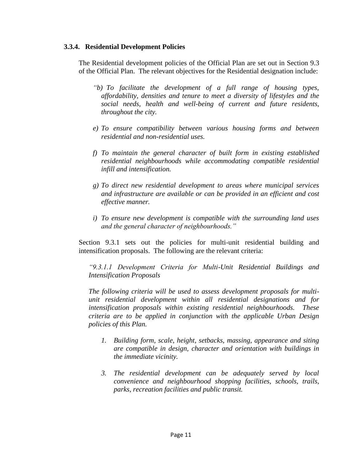#### **3.3.4. Residential Development Policies**

The Residential development policies of the Official Plan are set out in Section 9.3 of the Official Plan. The relevant objectives for the Residential designation include:

- *"b) To facilitate the development of a full range of housing types, affordability, densities and tenure to meet a diversity of lifestyles and the social needs, health and well-being of current and future residents, throughout the city.*
- *e) To ensure compatibility between various housing forms and between residential and non-residential uses.*
- *f) To maintain the general character of built form in existing established residential neighbourhoods while accommodating compatible residential infill and intensification.*
- *g) To direct new residential development to areas where municipal services and infrastructure are available or can be provided in an efficient and cost effective manner.*
- *i) To ensure new development is compatible with the surrounding land uses and the general character of neighbourhoods."*

Section 9.3.1 sets out the policies for multi-unit residential building and intensification proposals. The following are the relevant criteria:

*"9.3.1.1 Development Criteria for Multi-Unit Residential Buildings and Intensification Proposals*

*The following criteria will be used to assess development proposals for multiunit residential development within all residential designations and for intensification proposals within existing residential neighbourhoods. These criteria are to be applied in conjunction with the applicable Urban Design policies of this Plan.*

- *1. Building form, scale, height, setbacks, massing, appearance and siting are compatible in design, character and orientation with buildings in the immediate vicinity.*
- *3. The residential development can be adequately served by local convenience and neighbourhood shopping facilities, schools, trails, parks, recreation facilities and public transit.*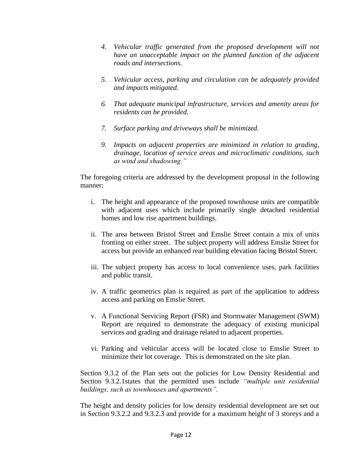- *4. Vehicular traffic generated from the proposed development will not have an unacceptable impact on the planned function of the adjacent roads and intersections.*
- *5. Vehicular access, parking and circulation can be adequately provided and impacts mitigated.*
- *6. That adequate municipal infrastructure, services and amenity areas for residents can be provided.*
- *7. Surface parking and driveways shall be minimized.*
- *9. Impacts on adjacent properties are minimized in relation to grading, drainage, location of service areas and microclimatic conditions, such as wind and shadowing."*

The foregoing criteria are addressed by the development proposal in the following manner:

- i. The height and appearance of the proposed townhouse units are compatible with adjacent uses which include primarily single detached residential homes and low rise apartment buildings.
- ii. The area between Bristol Street and Emslie Street contain a mix of units fronting on either street. The subject property will address Emslie Street for access but provide an enhanced rear building elevation facing Bristol Street.
- iii. The subject property has access to local convenience uses, park facilities and public transit.
- iv. A traffic geometrics plan is required as part of the application to address access and parking on Emslie Street.
- v. A Functional Servicing Report (FSR) and Stormwater Management (SWM) Report are required to demonstrate the adequacy of existing municipal services and grading and drainage related to adjacent properties.
- vi. Parking and vehicular access will be located close to Emslie Street to minimize their lot coverage. This is demonstrated on the site plan.

Section 9.3.2 of the Plan sets out the policies for Low Density Residential and Section 9.3.2.1states that the permitted uses include *"multiple unit residential buildings, such as townhouses and apartments".*

The height and density policies for low density residential development are set out in Section 9.3.2.2 and 9.3.2.3 and provide for a maximum height of 3 storeys and a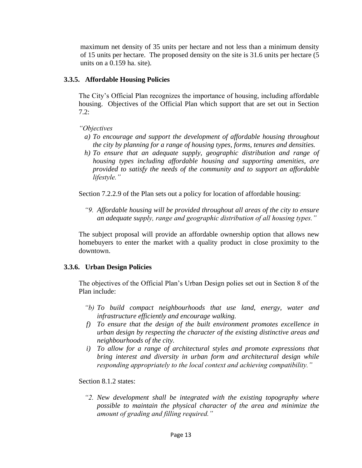maximum net density of 35 units per hectare and not less than a minimum density of 15 units per hectare. The proposed density on the site is 31.6 units per hectare (5 units on a 0.159 ha. site).

## **3.3.5. Affordable Housing Policies**

The City's Official Plan recognizes the importance of housing, including affordable housing. Objectives of the Official Plan which support that are set out in Section 7.2:

# *"Objectives*

- *a) To encourage and support the development of affordable housing throughout the city by planning for a range of housing types, forms, tenures and densities.*
- *h) To ensure that an adequate supply, geographic distribution and range of housing types including affordable housing and supporting amenities, are provided to satisfy the needs of the community and to support an affordable lifestyle."*

Section 7.2.2.9 of the Plan sets out a policy for location of affordable housing:

*"9. Affordable housing will be provided throughout all areas of the city to ensure an adequate supply, range and geographic distribution of all housing types."*

The subject proposal will provide an affordable ownership option that allows new homebuyers to enter the market with a quality product in close proximity to the downtown.

# **3.3.6. Urban Design Policies**

The objectives of the Official Plan's Urban Design polies set out in Section 8 of the Plan include:

- *"b) To build compact neighbourhoods that use land, energy, water and infrastructure efficiently and encourage walking.*
- *f) To ensure that the design of the built environment promotes excellence in urban design by respecting the character of the existing distinctive areas and neighbourhoods of the city.*
- *i) To allow for a range of architectural styles and promote expressions that bring interest and diversity in urban form and architectural design while responding appropriately to the local context and achieving compatibility."*

Section 8.1.2 states:

*"2. New development shall be integrated with the existing topography where possible to maintain the physical character of the area and minimize the amount of grading and filling required."*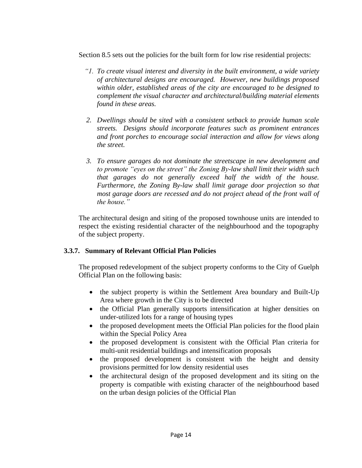Section 8.5 sets out the policies for the built form for low rise residential projects:

- *"1. To create visual interest and diversity in the built environment, a wide variety of architectural designs are encouraged. However, new buildings proposed within older, established areas of the city are encouraged to be designed to complement the visual character and architectural/building material elements found in these areas.*
- *2. Dwellings should be sited with a consistent setback to provide human scale streets. Designs should incorporate features such as prominent entrances and front porches to encourage social interaction and allow for views along the street.*
- *3. To ensure garages do not dominate the streetscape in new development and to promote "eyes on the street" the Zoning By-law shall limit their width such that garages do not generally exceed half the width of the house. Furthermore, the Zoning By-law shall limit garage door projection so that most garage doors are recessed and do not project ahead of the front wall of the house."*

The architectural design and siting of the proposed townhouse units are intended to respect the existing residential character of the neighbourhood and the topography of the subject property.

## **3.3.7. Summary of Relevant Official Plan Policies**

The proposed redevelopment of the subject property conforms to the City of Guelph Official Plan on the following basis:

- the subject property is within the Settlement Area boundary and Built-Up Area where growth in the City is to be directed
- the Official Plan generally supports intensification at higher densities on under-utilized lots for a range of housing types
- the proposed development meets the Official Plan policies for the flood plain within the Special Policy Area
- the proposed development is consistent with the Official Plan criteria for multi-unit residential buildings and intensification proposals
- the proposed development is consistent with the height and density provisions permitted for low density residential uses
- the architectural design of the proposed development and its siting on the property is compatible with existing character of the neighbourhood based on the urban design policies of the Official Plan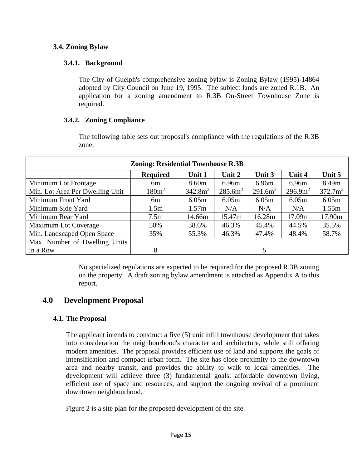# **3.4. Zoning Bylaw**

# **3.4.1. Background**

The City of Guelph's comprehensive zoning bylaw is Zoning Bylaw (1995)-14864 adopted by City Council on June 19, 1995. The subject lands are zoned R.1B. An application for a zoning amendment to R.3B On-Street Townhouse Zone is required.

# **3.4.2. Zoning Compliance**

The following table sets out proposal's compliance with the regulations of the R.3B zone:

| <b>Zoning: Residential Townhouse R.3B</b> |                   |                     |            |                     |            |                     |  |  |  |
|-------------------------------------------|-------------------|---------------------|------------|---------------------|------------|---------------------|--|--|--|
|                                           | <b>Required</b>   | Unit 1              | Unit 2     | Unit 3              | Unit 4     | Unit 5              |  |  |  |
| Minimum Lot Frontage                      | 6m                | 8.60 <sub>m</sub>   | 6.96m      | 6.96m               | 6.96m      | 8.49m               |  |  |  |
| Min. Lot Area Per Dwelling Unit           | 180m <sup>2</sup> | 342.8m <sup>2</sup> | $285.6m^2$ | 291.6m <sup>2</sup> | $296.9m^2$ | 372.7m <sup>2</sup> |  |  |  |
| Minimum Front Yard                        | 6m                | 6.05m               | 6.05m      | 6.05m               | 6.05m      | 6.05m               |  |  |  |
| Minimum Side Yard                         | 1.5 <sub>m</sub>  | 1.57m               | N/A        | N/A                 | N/A        | 1.55m               |  |  |  |
| Minimum Rear Yard                         | 7.5 <sub>m</sub>  | 14.66m              | 15.47m     | 16.28m              | 17.09m     | 17.90m              |  |  |  |
| <b>Maximum Lot Coverage</b>               | 50%               | 38.6%               | 46.3%      | 45.4%               | 44.5%      | 35.5%               |  |  |  |
| Min. Landscaped Open Space                | 35%               | 55.3%               | 46.3%      | 47.4%               | 48.4%      | 58.7%               |  |  |  |
| Max. Number of Dwelling Units             |                   |                     |            |                     |            |                     |  |  |  |
| in a Row                                  | 8                 |                     |            |                     |            |                     |  |  |  |

No specialized regulations are expected to be required for the proposed R.3B zoning on the property. A draft zoning bylaw amendment is attached as Appendix A to this report.

# **4.0 Development Proposal**

# **4.1. The Proposal**

The applicant intends to construct a five (5) unit infill townhouse development that takes into consideration the neighbourhood's character and architecture, while still offering modern amenities. The proposal provides efficient use of land and supports the goals of intensification and compact urban form. The site has close proximity to the downtown area and nearby transit, and provides the ability to walk to local amenities. The development will achieve three (3) fundamental goals; affordable downtown living, efficient use of space and resources, and support the ongoing revival of a prominent downtown neighbourhood.

Figure 2 is a site plan for the proposed development of the site.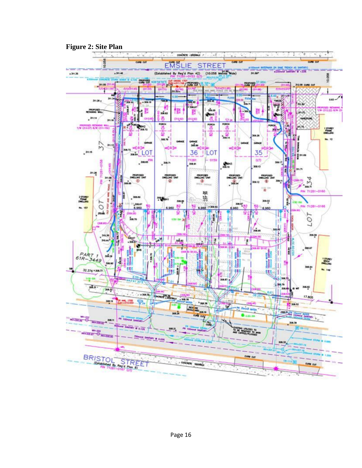

# **Figure 2: Site Plan**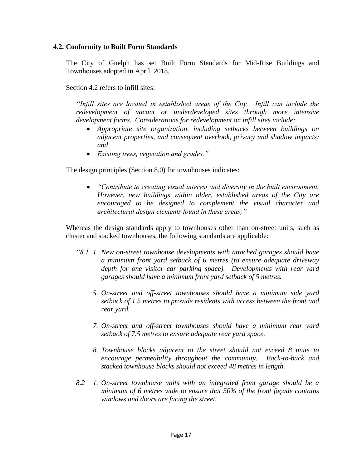#### **4.2. Conformity to Built Form Standards**

The City of Guelph has set Built Form Standards for Mid-Rise Buildings and Townhouses adopted in April, 2018.

Section 4.2 refers to infill sites:

*"Infill sites are located in established areas of the City. Infill can include the redevelopment of vacant or underdeveloped sites through more intensive development forms. Considerations for redevelopment on infill sites include:*

- *Appropriate site organization, including setbacks between buildings on adjacent properties, and consequent overlook, privacy and shadow impacts; and*
- *Existing trees, vegetation and grades."*

The design principles (Section 8.0) for townhouses indicates:

• *"Contribute to creating visual interest and diversity in the built environment. However, new buildings within older, established areas of the City are encouraged to be designed to complement the visual character and architectural design elements found in these areas;"*

Whereas the design standards apply to townhouses other than on-street units, such as cluster and stacked townhouses, the following standards are applicable:

- *"8.1 1. New on-street townhouse developments with attached garages should have a minimum front yard setback of 6 metres (to ensure adequate driveway depth for one visitor car parking space). Developments with rear yard garages should have a minimum front yard setback of 5 metres.*
	- *5. On-street and off-street townhouses should have a minimum side yard setback of 1.5 metres to provide residents with access between the front and rear yard.*
	- *7. On-street and off-street townhouses should have a minimum rear yard setback of 7.5 metres to ensure adequate rear yard space.*
	- *8. Townhouse blocks adjacent to the street should not exceed 8 units to encourage permeability throughout the community. Back-to-back and stacked townhouse blocks should not exceed 48 metres in length.*
- *8.2 1. On-street townhouse units with an integrated front garage should be a minimum of 6 metres wide to ensure that 50% of the front façade contains windows and doors are facing the street.*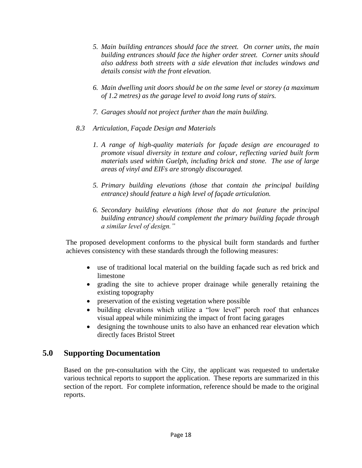- *5. Main building entrances should face the street. On corner units, the main building entrances should face the higher order street. Corner units should also address both streets with a side elevation that includes windows and details consist with the front elevation.*
- *6. Main dwelling unit doors should be on the same level or storey (a maximum of 1.2 metres) as the garage level to avoid long runs of stairs.*
- *7. Garages should not project further than the main building.*
- *8.3 Articulation, Façade Design and Materials*
	- *1. A range of high-quality materials for façade design are encouraged to promote visual diversity in texture and colour, reflecting varied built form materials used within Guelph, including brick and stone. The use of large areas of vinyl and EIFs are strongly discouraged.*
	- *5. Primary building elevations (those that contain the principal building entrance) should feature a high level of façade articulation.*
	- *6. Secondary building elevations (those that do not feature the principal building entrance) should complement the primary building façade through a similar level of design."*

The proposed development conforms to the physical built form standards and further achieves consistency with these standards through the following measures:

- use of traditional local material on the building façade such as red brick and limestone
- grading the site to achieve proper drainage while generally retaining the existing topography
- preservation of the existing vegetation where possible
- building elevations which utilize a "low level" porch roof that enhances visual appeal while minimizing the impact of front facing garages
- designing the townhouse units to also have an enhanced rear elevation which directly faces Bristol Street

# **5.0 Supporting Documentation**

Based on the pre-consultation with the City, the applicant was requested to undertake various technical reports to support the application. These reports are summarized in this section of the report. For complete information, reference should be made to the original reports.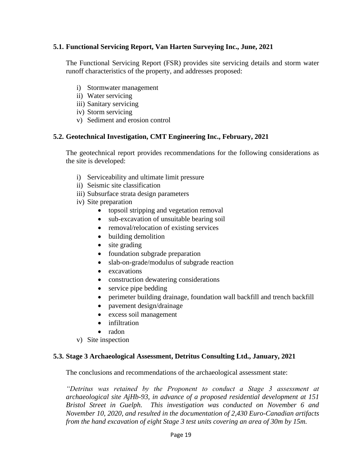## **5.1. Functional Servicing Report, Van Harten Surveying Inc., June, 2021**

The Functional Servicing Report (FSR) provides site servicing details and storm water runoff characteristics of the property, and addresses proposed:

- i) Stormwater management
- ii) Water servicing
- iii) Sanitary servicing
- iv) Storm servicing
- v) Sediment and erosion control

#### **5.2. Geotechnical Investigation, CMT Engineering Inc., February, 2021**

The geotechnical report provides recommendations for the following considerations as the site is developed:

- i) Serviceability and ultimate limit pressure
- ii) Seismic site classification
- iii) Subsurface strata design parameters
- iv) Site preparation
	- topsoil stripping and vegetation removal
	- sub-excavation of unsuitable bearing soil
	- removal/relocation of existing services
	- building demolition
	- site grading
	- foundation subgrade preparation
	- slab-on-grade/modulus of subgrade reaction
	- excavations
	- construction dewatering considerations
	- service pipe bedding
	- perimeter building drainage, foundation wall backfill and trench backfill
	- pavement design/drainage
	- excess soil management
	- infiltration
	- radon
- v) Site inspection

#### **5.3. Stage 3 Archaeological Assessment, Detritus Consulting Ltd., January, 2021**

The conclusions and recommendations of the archaeological assessment state:

*"Detritus was retained by the Proponent to conduct a Stage 3 assessment at archaeological site AjHb-93, in advance of a proposed residential development at 151 Bristol Street in Guelph. This investigation was conducted on November 6 and November 10, 2020, and resulted in the documentation of 2,430 Euro-Canadian artifacts from the hand excavation of eight Stage 3 test units covering an area of 30m by 15m.*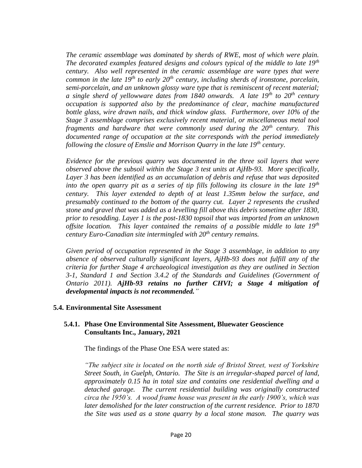*The ceramic assemblage was dominated by sherds of RWE, most of which were plain. The decorated examples featured designs and colours typical of the middle to late 19th century. Also well represented in the ceramic assemblage are ware types that were common in the late 19th to early 20th century, including sherds of ironstone, porcelain, semi-porcelain, and an unknown glossy ware type that is reminiscent of recent material; a single sherd of yellowware dates from 1840 onwards. A late 19th to 20th century occupation is supported also by the predominance of clear, machine manufactured bottle glass, wire drawn nails, and thick window glass. Furthermore, over 10% of the Stage 3 assemblage comprises exclusively recent material, or miscellaneous metal tool fragments and hardware that were commonly used during the 20th century. This documented range of occupation at the site corresponds with the period immediately following the closure of Emslie and Morrison Quarry in the late 19th century.*

*Evidence for the previous quarry was documented in the three soil layers that were observed above the subsoil within the Stage 3 test units at AjHb-93. More specifically, Layer 3 has been identified as an accumulation of debris and refuse that was deposited into the open quarry pit as a series of tip fills following its closure in the late 19th century. This layer extended to depth of at least 1.35mm below the surface, and presumably continued to the bottom of the quarry cut. Layer 2 represents the crushed stone and gravel that was added as a levelling fill above this debris sometime after 1830, prior to resodding. Layer 1 is the post-1830 topsoil that was imported from an unknown offsite location. This layer contained the remains of a possible middle to late 19th century Euro-Canadian site intermingled with 20th century remains.*

*Given period of occupation represented in the Stage 3 assemblage, in addition to any absence of observed culturally significant layers, AjHb-93 does not fulfill any of the criteria for further Stage 4 archaeological investigation as they are outlined in Section 3-1, Standard 1 and Section 3.4.2 of the Standards and Guidelines (Government of Ontario 2011). AjHb-93 retains no further CHVI; a Stage 4 mitigation of developmental impacts is not recommended."*

#### **5.4. Environmental Site Assessment**

#### **5.4.1. Phase One Environmental Site Assessment, Bluewater Geoscience Consultants Inc., January, 2021**

The findings of the Phase One ESA were stated as:

*"The subject site is located on the north side of Bristol Street, west of Yorkshire Street South, in Guelph, Ontario. The Site is an irregular-shaped parcel of land, approximately 0.15 ha in total size and contains one residential dwelling and a detached garage. The current residential building was originally constructed circa the 1950's. A wood frame house was present in the early 1900's, which was later demolished for the later construction of the current residence. Prior to 1870 the Site was used as a stone quarry by a local stone mason. The quarry was*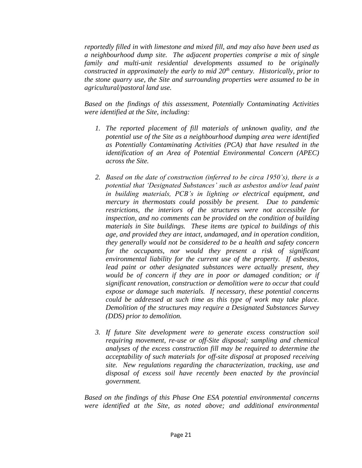*reportedly filled in with limestone and mixed fill, and may also have been used as a neighbourhood dump site. The adjacent properties comprise a mix of single family and multi-unit residential developments assumed to be originally constructed in approximately the early to mid 20th century. Historically, prior to the stone quarry use, the Site and surrounding properties were assumed to be in agricultural/pastoral land use.*

*Based on the findings of this assessment, Potentially Contaminating Activities were identified at the Site, including:*

- *1. The reported placement of fill materials of unknown quality, and the potential use of the Site as a neighbourhood dumping area were identified as Potentially Contaminating Activities (PCA) that have resulted in the identification of an Area of Potential Environmental Concern (APEC) across the Site.*
- *2. Based on the date of construction (inferred to be circa 1950's), there is a potential that 'Designated Substances' such as asbestos and/or lead paint in building materials, PCB's in lighting or electrical equipment, and mercury in thermostats could possibly be present. Due to pandemic restrictions, the interiors of the structures were not accessible for inspection, and no comments can be provided on the condition of building materials in Site buildings. These items are typical to buildings of this age, and provided they are intact, undamaged, and in operation condition, they generally would not be considered to be a health and safety concern for the occupants, nor would they present a risk of significant environmental liability for the current use of the property. If asbestos, lead paint or other designated substances were actually present, they would be of concern if they are in poor or damaged condition; or if significant renovation, construction or demolition were to occur that could expose or damage such materials. If necessary, these potential concerns could be addressed at such time as this type of work may take place. Demolition of the structures may require a Designated Substances Survey (DDS) prior to demolition.*
- *3. If future Site development were to generate excess construction soil requiring movement, re-use or off-Site disposal; sampling and chemical analyses of the excess construction fill may be required to determine the acceptability of such materials for off-site disposal at proposed receiving site. New regulations regarding the characterization, tracking, use and disposal of excess soil have recently been enacted by the provincial government.*

*Based on the findings of this Phase One ESA potential environmental concerns were identified at the Site, as noted above; and additional environmental*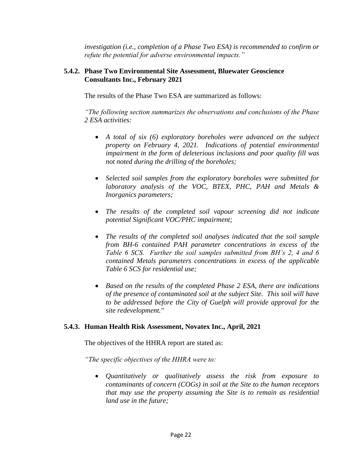*investigation (i.e., completion of a Phase Two ESA) is recommended to confirm or refute the potential for adverse environmental impacts."*

## **5.4.2. Phase Two Environmental Site Assessment, Bluewater Geoscience Consultants Inc., February 2021**

The results of the Phase Two ESA are summarized as follows:

*"The following section summarizes the observations and conclusions of the Phase 2 ESA activities:*

- *A total of six (6) exploratory boreholes were advanced on the subject property on February 4, 2021. Indications of potential environmental impairment in the form of deleterious inclusions and poor quality fill was not noted during the drilling of the boreholes;*
- *Selected soil samples from the exploratory boreholes were submitted for laboratory analysis of the VOC, BTEX, PHC, PAH and Metals & Inorganics parameters;*
- *The results of the completed soil vapour screening did not indicate potential Significant VOC/PHC impairment;*
- *The results of the completed soil analyses indicated that the soil sample from BH-6 contained PAH parameter concentrations in excess of the Table 6 SCS. Further the soil samples submitted from BH's 2, 4 and 6 contained Metals parameters concentrations in excess of the applicable Table 6 SCS for residential use;*
- *Based on the results of the completed Phase 2 ESA, there are indications of the presence of contaminated soil at the subject Site. This soil will have to be addressed before the City of Guelph will provide approval for the site redevelopment."*

## **5.4.3. Human Health Risk Assessment, Novatex Inc., April, 2021**

The objectives of the HHRA report are stated as:

*"The specific objectives of the HHRA were to:*

• *Quantitatively or qualitatively assess the risk from exposure to contaminants of concern (COGs) in soil at the Site to the human receptors that may use the property assuming the Site is to remain as residential land use in the future;*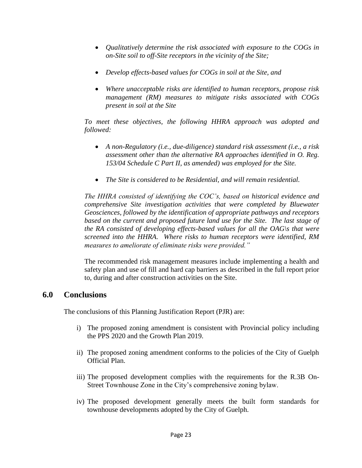- *Qualitatively determine the risk associated with exposure to the COGs in on-Site soil to off-Site receptors in the vicinity of the Site;*
- *Develop effects-based values for COGs in soil at the Site, and*
- *Where unacceptable risks are identified to human receptors, propose risk management (RM) measures to mitigate risks associated with COGs present in soil at the Site*

*To meet these objectives, the following HHRA approach was adopted and followed:*

- *A non-Regulatory (i.e., due-diligence) standard risk assessment (i.e., a risk assessment other than the alternative RA approaches identified in O. Reg. 153/04 Schedule C Part II, as amended) was employed for the Site.*
- *The Site is considered to be Residential, and will remain residential.*

*The HHRA consisted of identifying the COC's, based on historical evidence and comprehensive Site investigation activities that were completed by Bluewater Geosciences, followed by the identification of appropriate pathways and receptors based on the current and proposed future land use for the Site. The last stage of the RA consisted of developing effects-based values for all the OAG\s that were screened into the HHRA. Where risks to human receptors were identified, RM measures to ameliorate of eliminate risks were provided."*

The recommended risk management measures include implementing a health and safety plan and use of fill and hard cap barriers as described in the full report prior to, during and after construction activities on the Site.

# **6.0 Conclusions**

The conclusions of this Planning Justification Report (PJR) are:

- i) The proposed zoning amendment is consistent with Provincial policy including the PPS 2020 and the Growth Plan 2019.
- ii) The proposed zoning amendment conforms to the policies of the City of Guelph Official Plan.
- iii) The proposed development complies with the requirements for the R.3B On-Street Townhouse Zone in the City's comprehensive zoning bylaw.
- iv) The proposed development generally meets the built form standards for townhouse developments adopted by the City of Guelph.